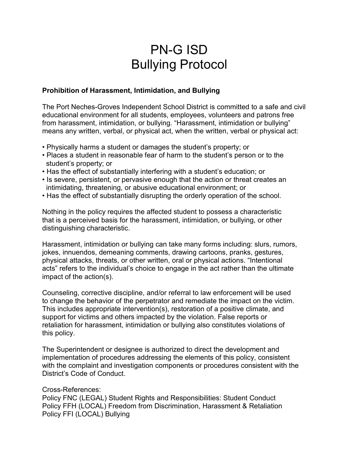# PN-G ISD Bullying Protocol

#### **Prohibition of Harassment, Intimidation, and Bullying**

The Port Neches-Groves Independent School District is committed to a safe and civil educational environment for all students, employees, volunteers and patrons free from harassment, intimidation, or bullying. "Harassment, intimidation or bullying" means any written, verbal, or physical act, when the written, verbal or physical act:

- Physically harms a student or damages the student's property; or
- Places a student in reasonable fear of harm to the student's person or to the student's property; or
- Has the effect of substantially interfering with a student's education; or
- Is severe, persistent, or pervasive enough that the action or threat creates an intimidating, threatening, or abusive educational environment; or
- Has the effect of substantially disrupting the orderly operation of the school.

Nothing in the policy requires the affected student to possess a characteristic that is a perceived basis for the harassment, intimidation, or bullying, or other distinguishing characteristic.

Harassment, intimidation or bullying can take many forms including: slurs, rumors, jokes, innuendos, demeaning comments, drawing cartoons, pranks, gestures, physical attacks, threats, or other written, oral or physical actions. "Intentional acts" refers to the individual's choice to engage in the act rather than the ultimate impact of the action(s).

Counseling, corrective discipline, and/or referral to law enforcement will be used to change the behavior of the perpetrator and remediate the impact on the victim. This includes appropriate intervention(s), restoration of a positive climate, and support for victims and others impacted by the violation. False reports or retaliation for harassment, intimidation or bullying also constitutes violations of this policy.

The Superintendent or designee is authorized to direct the development and implementation of procedures addressing the elements of this policy, consistent with the complaint and investigation components or procedures consistent with the District's Code of Conduct.

#### Cross-References:

Policy FNC (LEGAL) Student Rights and Responsibilities: Student Conduct Policy FFH (LOCAL) Freedom from Discrimination, Harassment & Retaliation Policy FFI (LOCAL) Bullying